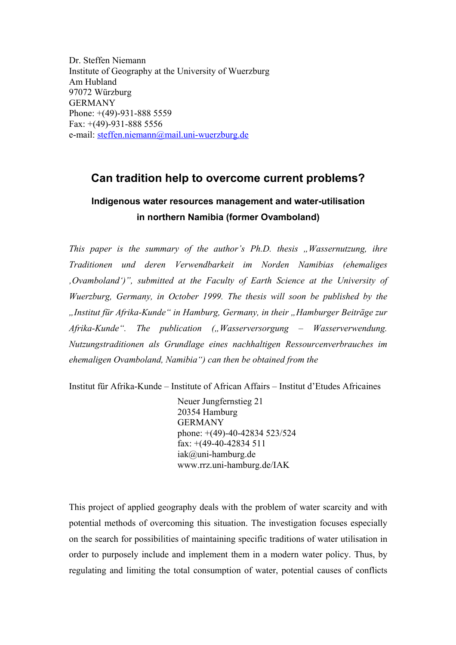Dr. Steffen Niemann Institute of Geography at the University of Wuerzburg Am Hubland 97072 Würzburg GERMANY Phone: +(49)-931-888 5559 Fax: +(49)-931-888 5556 e-mail: [steffen.niemann@mail.uni-wuerzburg.de](mailto:steffen.niemann@mail.uni-wuerzburg.de)

## **Can tradition help to overcome current problems?**

## **Indigenous water resources management and water-utilisation in northern Namibia (former Ovamboland)**

*This paper is the summary of the author's Ph.D. thesis "Wassernutzung, ihre Traditionen und deren Verwendbarkeit im Norden Namibias (ehemaliges 'Ovamboland')", submitted at the Faculty of Earth Science at the University of Wuerzburg, Germany, in October 1999. The thesis will soon be published by the "Institut für Afrika-Kunde" in Hamburg, Germany, in their "Hamburger Beiträge zur*  Afrika-Kunde". The publication ("Wasserversorgung – Wasserverwendung. *Nutzungstraditionen als Grundlage eines nachhaltigen Ressourcenverbrauches im ehemaligen Ovamboland, Namibia") can then be obtained from the* 

Institut für Afrika-Kunde – Institute of African Affairs – Institut d'Etudes Africaines

Neuer Jungfernstieg 21 20354 Hamburg GERMANY phone: +(49)-40-42834 523/524 fax: +(49-40-42834 511 iak@uni-hamburg.de www.rrz.uni-hamburg.de/IAK

This project of applied geography deals with the problem of water scarcity and with potential methods of overcoming this situation. The investigation focuses especially on the search for possibilities of maintaining specific traditions of water utilisation in order to purposely include and implement them in a modern water policy. Thus, by regulating and limiting the total consumption of water, potential causes of conflicts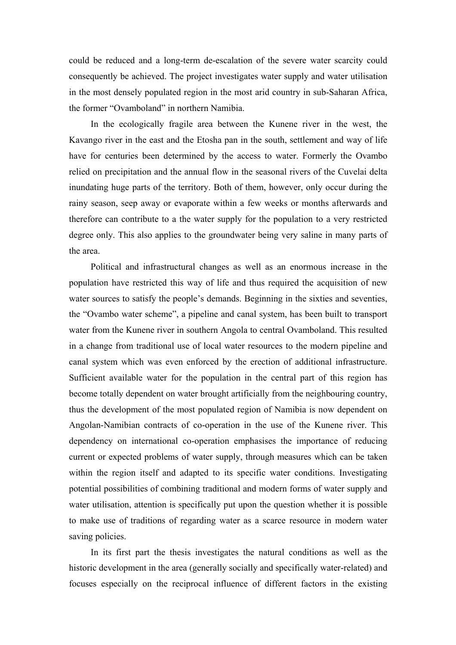could be reduced and a long-term de-escalation of the severe water scarcity could consequently be achieved. The project investigates water supply and water utilisation in the most densely populated region in the most arid country in sub-Saharan Africa, the former "Ovamboland" in northern Namibia.

In the ecologically fragile area between the Kunene river in the west, the Kavango river in the east and the Etosha pan in the south, settlement and way of life have for centuries been determined by the access to water. Formerly the Ovambo relied on precipitation and the annual flow in the seasonal rivers of the Cuvelai delta inundating huge parts of the territory. Both of them, however, only occur during the rainy season, seep away or evaporate within a few weeks or months afterwards and therefore can contribute to a the water supply for the population to a very restricted degree only. This also applies to the groundwater being very saline in many parts of the area.

Political and infrastructural changes as well as an enormous increase in the population have restricted this way of life and thus required the acquisition of new water sources to satisfy the people's demands. Beginning in the sixties and seventies, the "Ovambo water scheme", a pipeline and canal system, has been built to transport water from the Kunene river in southern Angola to central Ovamboland. This resulted in a change from traditional use of local water resources to the modern pipeline and canal system which was even enforced by the erection of additional infrastructure. Sufficient available water for the population in the central part of this region has become totally dependent on water brought artificially from the neighbouring country, thus the development of the most populated region of Namibia is now dependent on Angolan-Namibian contracts of co-operation in the use of the Kunene river. This dependency on international co-operation emphasises the importance of reducing current or expected problems of water supply, through measures which can be taken within the region itself and adapted to its specific water conditions. Investigating potential possibilities of combining traditional and modern forms of water supply and water utilisation, attention is specifically put upon the question whether it is possible to make use of traditions of regarding water as a scarce resource in modern water saving policies.

In its first part the thesis investigates the natural conditions as well as the historic development in the area (generally socially and specifically water-related) and focuses especially on the reciprocal influence of different factors in the existing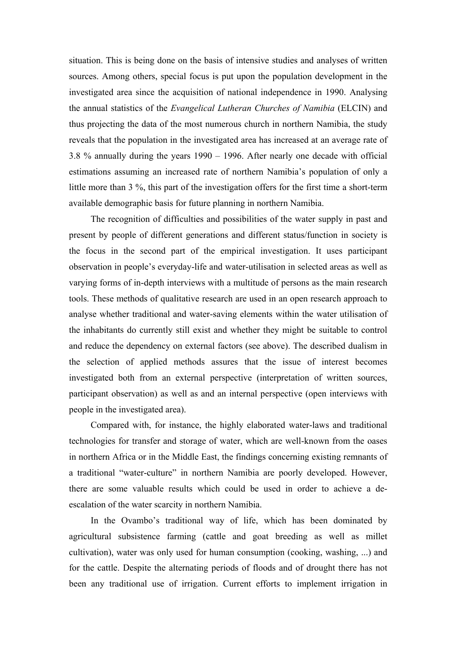situation. This is being done on the basis of intensive studies and analyses of written sources. Among others, special focus is put upon the population development in the investigated area since the acquisition of national independence in 1990. Analysing the annual statistics of the *Evangelical Lutheran Churches of Namibia* (ELCIN) and thus projecting the data of the most numerous church in northern Namibia, the study reveals that the population in the investigated area has increased at an average rate of 3.8 % annually during the years 1990 – 1996. After nearly one decade with official estimations assuming an increased rate of northern Namibia's population of only a little more than 3 %, this part of the investigation offers for the first time a short-term available demographic basis for future planning in northern Namibia.

The recognition of difficulties and possibilities of the water supply in past and present by people of different generations and different status/function in society is the focus in the second part of the empirical investigation. It uses participant observation in people's everyday-life and water-utilisation in selected areas as well as varying forms of in-depth interviews with a multitude of persons as the main research tools. These methods of qualitative research are used in an open research approach to analyse whether traditional and water-saving elements within the water utilisation of the inhabitants do currently still exist and whether they might be suitable to control and reduce the dependency on external factors (see above). The described dualism in the selection of applied methods assures that the issue of interest becomes investigated both from an external perspective (interpretation of written sources, participant observation) as well as and an internal perspective (open interviews with people in the investigated area).

Compared with, for instance, the highly elaborated water-laws and traditional technologies for transfer and storage of water, which are well-known from the oases in northern Africa or in the Middle East, the findings concerning existing remnants of a traditional "water-culture" in northern Namibia are poorly developed. However, there are some valuable results which could be used in order to achieve a deescalation of the water scarcity in northern Namibia.

In the Ovambo's traditional way of life, which has been dominated by agricultural subsistence farming (cattle and goat breeding as well as millet cultivation), water was only used for human consumption (cooking, washing, ...) and for the cattle. Despite the alternating periods of floods and of drought there has not been any traditional use of irrigation. Current efforts to implement irrigation in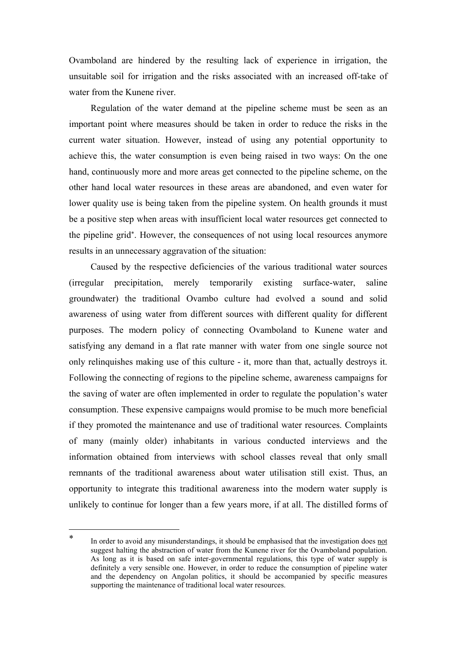Ovamboland are hindered by the resulting lack of experience in irrigation, the unsuitable soil for irrigation and the risks associated with an increased off-take of water from the Kunene river.

Regulation of the water demand at the pipeline scheme must be seen as an important point where measures should be taken in order to reduce the risks in the current water situation. However, instead of using any potential opportunity to achieve this, the water consumption is even being raised in two ways: On the one hand, continuously more and more areas get connected to the pipeline scheme, on the other hand local water resources in these areas are abandoned, and even water for lower quality use is being taken from the pipeline system. On health grounds it must be a positive step when areas with insufficient local water resources get connected to the pipeline gri[d\\*.](#page-3-0) However, the consequences of not using local resources anymore results in an unnecessary aggravation of the situation:

Caused by the respective deficiencies of the various traditional water sources (irregular precipitation, merely temporarily existing surface-water, saline groundwater) the traditional Ovambo culture had evolved a sound and solid awareness of using water from different sources with different quality for different purposes. The modern policy of connecting Ovamboland to Kunene water and satisfying any demand in a flat rate manner with water from one single source not only relinquishes making use of this culture - it, more than that, actually destroys it. Following the connecting of regions to the pipeline scheme, awareness campaigns for the saving of water are often implemented in order to regulate the population's water consumption. These expensive campaigns would promise to be much more beneficial if they promoted the maintenance and use of traditional water resources. Complaints of many (mainly older) inhabitants in various conducted interviews and the information obtained from interviews with school classes reveal that only small remnants of the traditional awareness about water utilisation still exist. Thus, an opportunity to integrate this traditional awareness into the modern water supply is unlikely to continue for longer than a few years more, if at all. The distilled forms of

 $\overline{\phantom{a}}$ 

<span id="page-3-0"></span>In order to avoid any misunderstandings, it should be emphasised that the investigation does not suggest halting the abstraction of water from the Kunene river for the Ovamboland population. As long as it is based on safe inter-governmental regulations, this type of water supply is definitely a very sensible one. However, in order to reduce the consumption of pipeline water and the dependency on Angolan politics, it should be accompanied by specific measures supporting the maintenance of traditional local water resources.